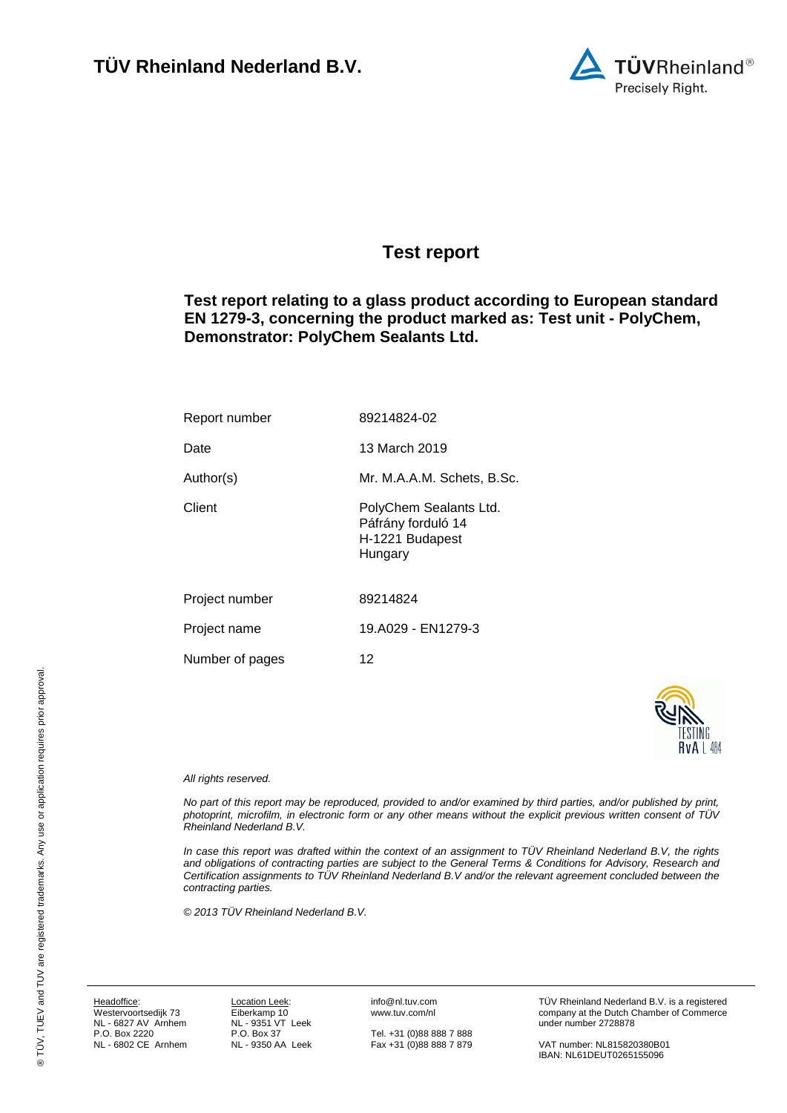

## <span id="page-0-7"></span><span id="page-0-0"></span>**Test report**

<span id="page-0-3"></span>**Test report relating to a glass product according to European standard EN 1279-3, concerning the product marked as: Test unit - PolyChem, Demonstrator: PolyChem Sealants Ltd.**

<span id="page-0-6"></span><span id="page-0-5"></span><span id="page-0-4"></span><span id="page-0-1"></span>

| Report number   | 89214824-02                                                                |
|-----------------|----------------------------------------------------------------------------|
| Date            | 13 March 2019                                                              |
| Author(s)       | Mr. M.A.A.M. Schets, B.Sc.                                                 |
| Client          | PolyChem Sealants Ltd.<br>Páfrány forduló 14<br>H-1221 Budapest<br>Hungary |
| Project number  | 89214824                                                                   |
| Project name    | 19.A029 - EN1279-3                                                         |
| Number of pages | 12                                                                         |



### <span id="page-0-2"></span>*All rights reserved.*

*No part of this report may be reproduced, provided to and/or examined by third parties, and/or published by print, photoprint, microfilm, in electronic form or any other means without the explicit previous written consent of TÜV Rheinland Nederland B.V.*

*In case this report was drafted within the context of an assignment to TÜV Rheinland Nederland B.V, the rights and obligations of contracting parties are subject to the General Terms & Conditions for Advisory, Research and Certification assignments to TÜV Rheinland Nederland B.V and/or the relevant agreement concluded between the contracting parties.* 

*© 2013 TÜV Rheinland Nederland B.V.*

Headoffice: Westervoortsedijk 73 NL - 6827 AV Arnhem P.O. Box 2220 NL - 6802 CE Arnhem

Location Leek: Eiberkamp 10 NL - 9351 VT Leek P.O. Box 37 NL - 9350 AA Leek info@nl.tuv.com www.tuv.com/nl

Tel. +31 (0)88 888 7 888 Fax +31 (0)88 888 7 879 TÜV Rheinland Nederland B.V. is a registered company at the Dutch Chamber of Commerce under number 2728878

VAT number: NL815820380B01 IBAN: NL61DEUT0265155096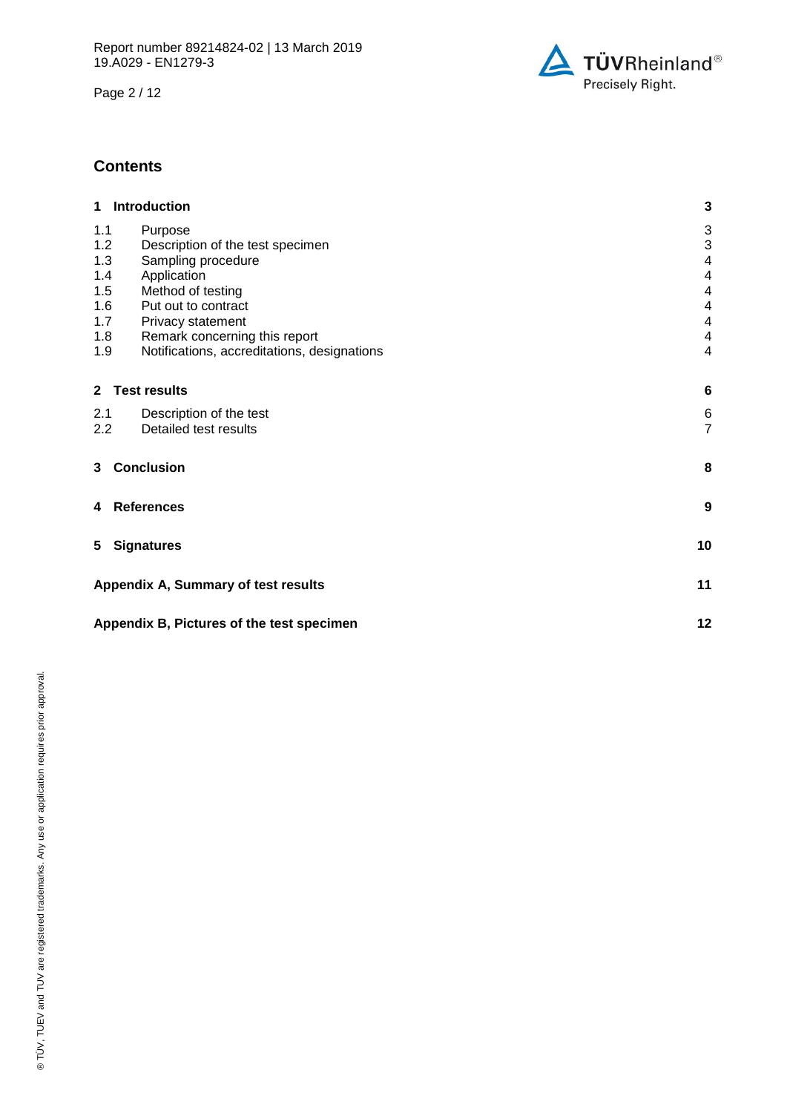Page 2 / 12



## **Contents**

| 1 Introduction                                                                                               | 3                                                              |
|--------------------------------------------------------------------------------------------------------------|----------------------------------------------------------------|
| 1.1<br>Purpose<br>1.2<br>Description of the test specimen<br>1.3<br>Sampling procedure<br>1.4<br>Application | 3<br>$\ensuremath{\mathsf{3}}$<br>4<br>$\overline{\mathbf{4}}$ |
| 1.5<br>Method of testing<br>1.6<br>Put out to contract                                                       | $\overline{\mathbf{4}}$<br>$\overline{\mathbf{4}}$             |
| 1.7<br>Privacy statement                                                                                     | 4                                                              |
| 1.8<br>Remark concerning this report<br>Notifications, accreditations, designations<br>1.9                   | $\overline{\mathbf{4}}$<br>4                                   |
| 2 Test results                                                                                               | $6\phantom{1}6$                                                |
| 2.1<br>Description of the test<br>Detailed test results<br>2.2                                               | 6<br>$\overline{7}$                                            |
| 3 Conclusion                                                                                                 | 8                                                              |
| <b>References</b><br>4                                                                                       | $\boldsymbol{9}$                                               |
| 5<br><b>Signatures</b>                                                                                       | 10                                                             |
| Appendix A, Summary of test results                                                                          | 11                                                             |
| Appendix B, Pictures of the test specimen                                                                    | 12                                                             |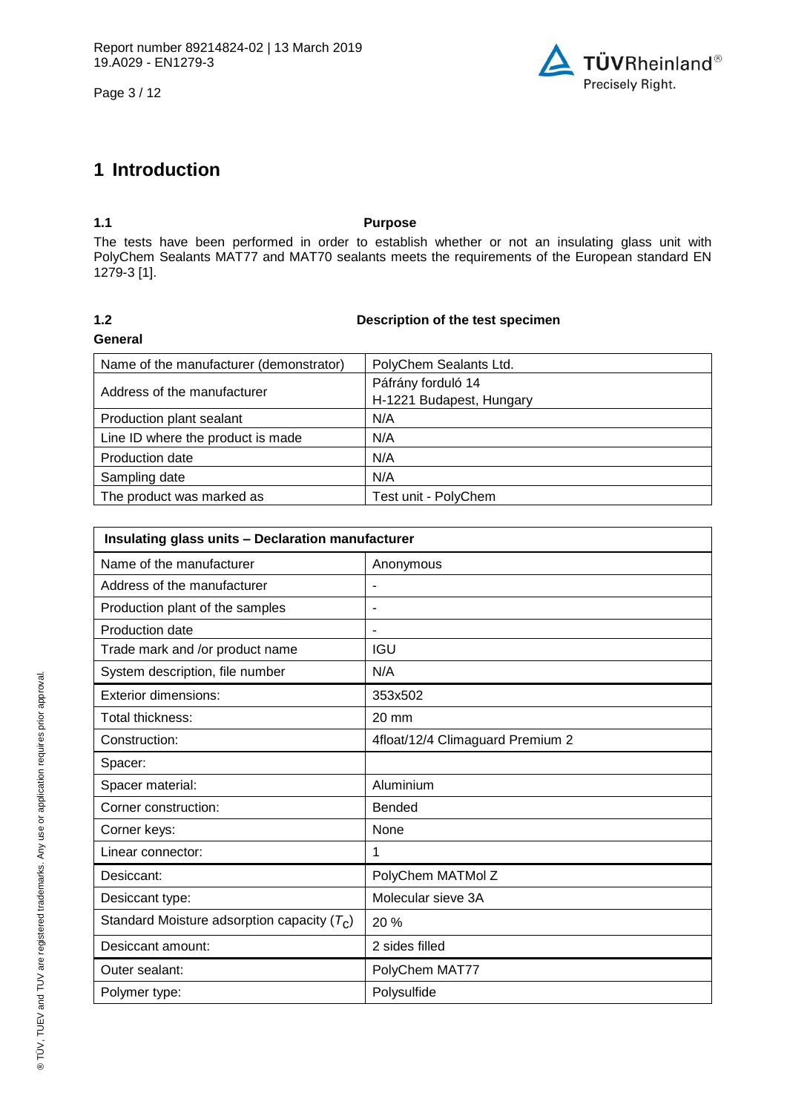Page 3 / 12



# **1 Introduction**

## **1.1 Purpose**

The tests have been performed in order to establish whether or not an insulating glass unit with PolyChem Sealants MAT77 and MAT70 sealants meets the requirements of the European standard EN 1279-3 [1].

# **General**

## **1.2 Description of the test specimen**

| Name of the manufacturer (demonstrator) | PolyChem Sealants Ltd.                         |
|-----------------------------------------|------------------------------------------------|
| Address of the manufacturer             | Páfrány forduló 14<br>H-1221 Budapest, Hungary |
| Production plant sealant                | N/A                                            |
| Line ID where the product is made       | N/A                                            |
| Production date                         | N/A                                            |
| Sampling date                           | N/A                                            |
| The product was marked as               | Test unit - PolyChem                           |

| Insulating glass units - Declaration manufacturer |                                  |  |  |
|---------------------------------------------------|----------------------------------|--|--|
| Name of the manufacturer                          | Anonymous                        |  |  |
| Address of the manufacturer                       |                                  |  |  |
| Production plant of the samples                   | ٠                                |  |  |
| Production date                                   | ٠                                |  |  |
| Trade mark and /or product name                   | <b>IGU</b>                       |  |  |
| System description, file number                   | N/A                              |  |  |
| <b>Exterior dimensions:</b>                       | 353x502                          |  |  |
| Total thickness:                                  | 20 mm                            |  |  |
| Construction:                                     | 4float/12/4 Climaguard Premium 2 |  |  |
| Spacer:                                           |                                  |  |  |
| Spacer material:                                  | Aluminium                        |  |  |
| Corner construction:                              | Bended                           |  |  |
| Corner keys:                                      | None                             |  |  |
| Linear connector:                                 | 1                                |  |  |
| Desiccant:                                        | PolyChem MATMol Z                |  |  |
| Desiccant type:                                   | Molecular sieve 3A               |  |  |
| Standard Moisture adsorption capacity $(T_C)$     | 20 %                             |  |  |
| Desiccant amount:                                 | 2 sides filled                   |  |  |
| Outer sealant:                                    | PolyChem MAT77                   |  |  |
| Polymer type:                                     | Polysulfide                      |  |  |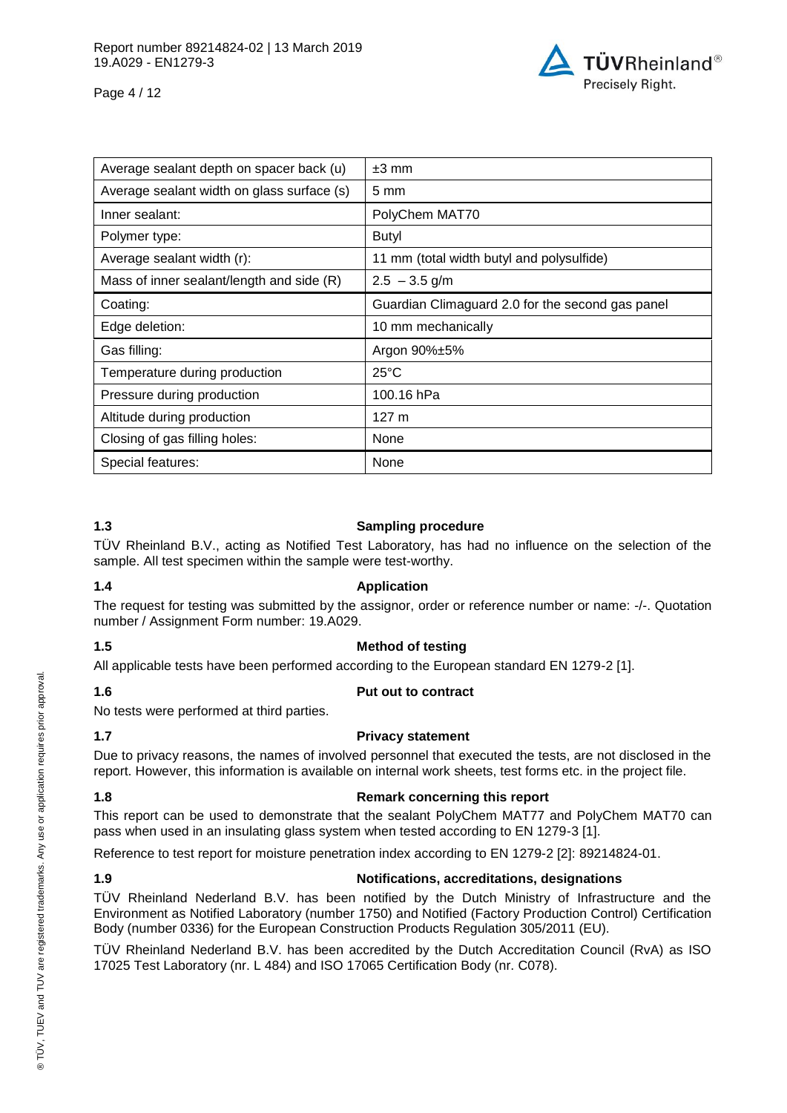

Page 4 / 12

| Average sealant depth on spacer back (u)   | $±3$ mm                                          |
|--------------------------------------------|--------------------------------------------------|
| Average sealant width on glass surface (s) | $5 \text{ mm}$                                   |
| Inner sealant:                             | PolyChem MAT70                                   |
| Polymer type:                              | Butyl                                            |
| Average sealant width (r):                 | 11 mm (total width butyl and polysulfide)        |
| Mass of inner sealant/length and side (R)  | $2.5 - 3.5$ g/m                                  |
| Coating:                                   | Guardian Climaguard 2.0 for the second gas panel |
| Edge deletion:                             | 10 mm mechanically                               |
| Gas filling:                               | Argon 90%±5%                                     |
| Temperature during production              | $25^{\circ}$ C                                   |
| Pressure during production                 | 100.16 hPa                                       |
| Altitude during production                 | 127 <sub>m</sub>                                 |
| Closing of gas filling holes:              | None                                             |
| Special features:                          | None                                             |

## **1.3 Sampling procedure**

TÜV Rheinland B.V., acting as Notified Test Laboratory, has had no influence on the selection of the sample. All test specimen within the sample were test-worthy.

## **1.4 Application**

The request for testing was submitted by the assignor, order or reference number or name: -/-. Quotation number / Assignment Form number: 19.A029.

## **1.5 Method of testing**

All applicable tests have been performed according to the European standard EN 1279-2 [1].

## **1.6 Put out to contract**

No tests were performed at third parties.

## **1.7 Privacy statement**

Due to privacy reasons, the names of involved personnel that executed the tests, are not disclosed in the report. However, this information is available on internal work sheets, test forms etc. in the project file.

## **1.8 Remark concerning this report**

This report can be used to demonstrate that the sealant PolyChem MAT77 and PolyChem MAT70 can pass when used in an insulating glass system when tested according to EN 1279-3 [1].

Reference to test report for moisture penetration index according to EN 1279-2 [2]: 89214824-01.

## <span id="page-3-0"></span>**1.9 Notifications, accreditations, designations**

TÜV Rheinland Nederland B.V. has been notified by the Dutch Ministry of Infrastructure and the Environment as Notified Laboratory (number 1750) and Notified (Factory Production Control) Certification Body (number 0336) for the European Construction Products Regulation 305/2011 (EU).

TÜV Rheinland Nederland B.V. has been accredited by the Dutch Accreditation Council (RvA) as ISO 17025 Test Laboratory (nr. L 484) and ISO 17065 Certification Body (nr. C078).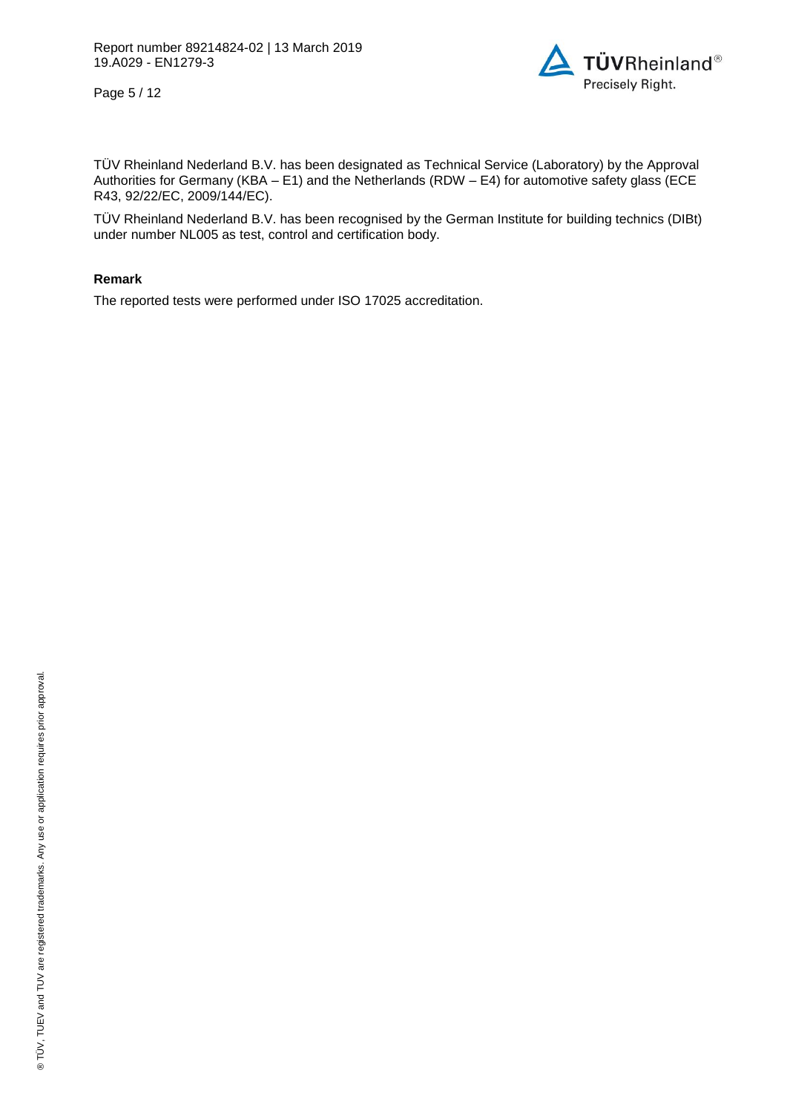Page 5 / 12



TÜV Rheinland Nederland B.V. has been designated as Technical Service (Laboratory) by the Approval Authorities for Germany (KBA – E1) and the Netherlands (RDW – E4) for automotive safety glass (ECE R43, 92/22/EC, 2009/144/EC).

TÜV Rheinland Nederland B.V. has been recognised by the German Institute for building technics (DIBt) under number NL005 as test, control and certification body.

### **Remark**

The reported tests were performed under ISO 17025 accreditation.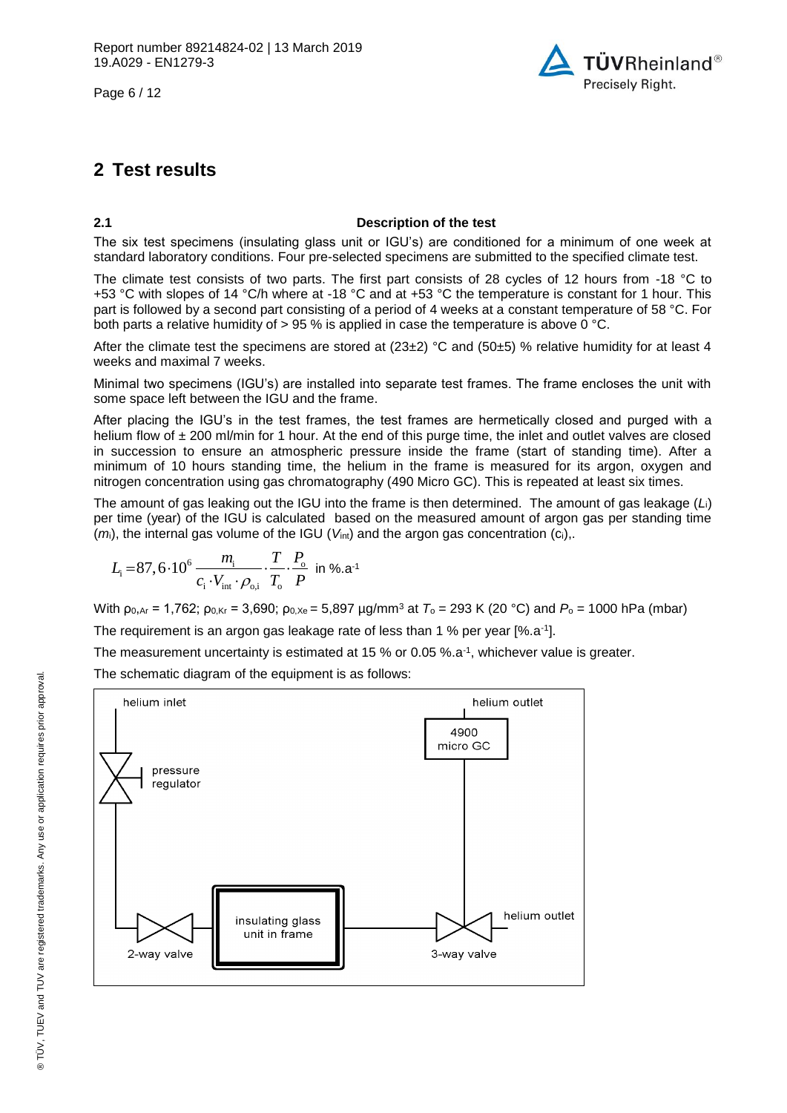Page 6 / 12



## **2 Test results**

## **2.1 Description of the test**

The six test specimens (insulating glass unit or IGU's) are conditioned for a minimum of one week at standard laboratory conditions. Four pre-selected specimens are submitted to the specified climate test.

The climate test consists of two parts. The first part consists of 28 cycles of 12 hours from -18 °C to +53 °C with slopes of 14 °C/h where at -18 °C and at +53 °C the temperature is constant for 1 hour. This part is followed by a second part consisting of a period of 4 weeks at a constant temperature of 58 °C. For both parts a relative humidity of  $> 95$  % is applied in case the temperature is above 0 °C.

After the climate test the specimens are stored at  $(23\pm2)$  °C and  $(50\pm5)$  % relative humidity for at least 4 weeks and maximal 7 weeks.

Minimal two specimens (IGU's) are installed into separate test frames. The frame encloses the unit with some space left between the IGU and the frame.

After placing the IGU's in the test frames, the test frames are hermetically closed and purged with a helium flow of  $\pm 200$  ml/min for 1 hour. At the end of this purge time, the inlet and outlet valves are closed in succession to ensure an atmospheric pressure inside the frame (start of standing time). After a minimum of 10 hours standing time, the helium in the frame is measured for its argon, oxygen and nitrogen concentration using gas chromatography (490 Micro GC). This is repeated at least six times.

The amount of gas leaking out the IGU into the frame is then determined. The amount of gas leakage (*L*i) per time (year) of the IGU is calculated based on the measured amount of argon gas per standing time (*m*i), the internal gas volume of the IGU (*V*int) and the argon gas concentration (ci),.

$$
L_{\rm i} = 87, 6 \cdot 10^6 \frac{m_{\rm i}}{c_{\rm i} \cdot V_{\rm int} \cdot \rho_{\rm o,i}} \cdot \frac{T}{T_{\rm o}} \cdot \frac{P_{\rm o}}{P} \text{ in } \% \text{.a}^{-1}
$$

With ρ<sub>0,Ar</sub> = 1,762; ρ<sub>0,Kr</sub> = 3,690; ρ<sub>0,Xe</sub> = 5,897 µg/mm<sup>3</sup> at *T*<sub>o</sub> = 293 K (20 °C) and *P*<sub>o</sub> = 1000 hPa (mbar)

The requirement is an argon gas leakage rate of less than 1 % per year [%.a<sup>-1</sup>].

The measurement uncertainty is estimated at 15 % or 0.05 %.a-1 , whichever value is greater.

The schematic diagram of the equipment is as follows:

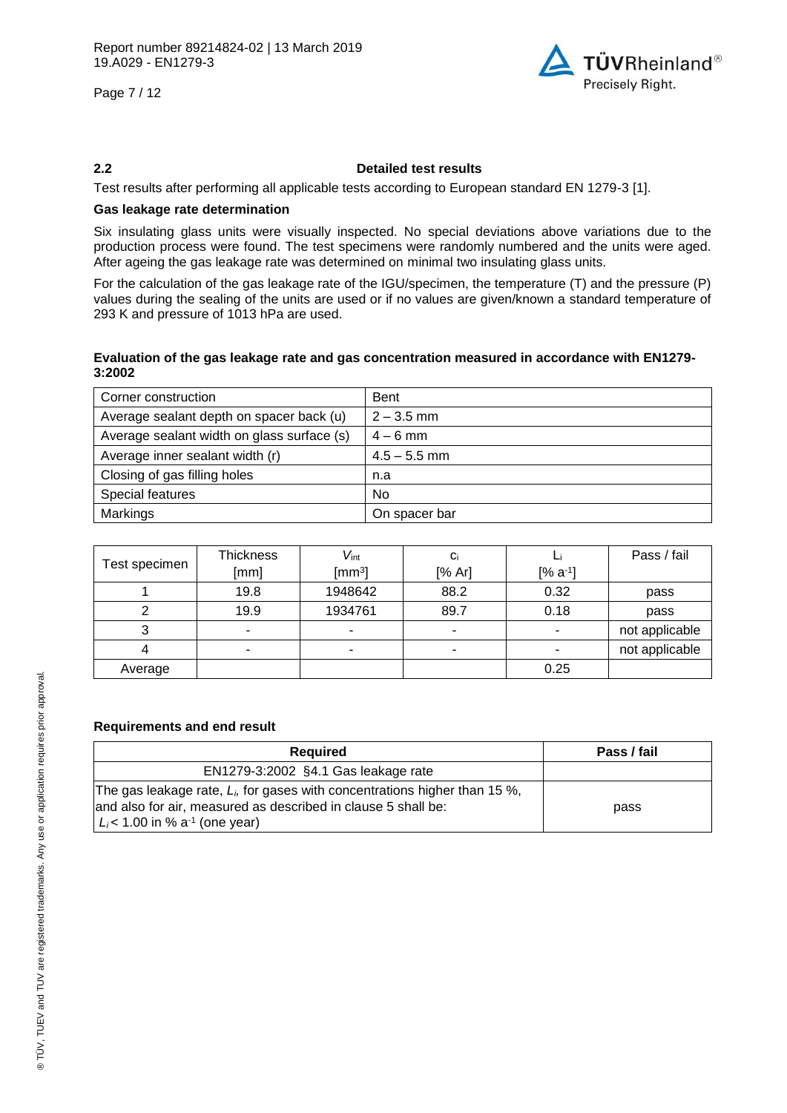Page 7 / 12



### **2.2 Detailed test results**

Test results after performing all applicable tests according to European standard EN 1279-3 [1].

## **Gas leakage rate determination**

Six insulating glass units were visually inspected. No special deviations above variations due to the production process were found. The test specimens were randomly numbered and the units were aged. After ageing the gas leakage rate was determined on minimal two insulating glass units.

For the calculation of the gas leakage rate of the IGU/specimen, the temperature (T) and the pressure (P) values during the sealing of the units are used or if no values are given/known a standard temperature of 293 K and pressure of 1013 hPa are used.

### **Evaluation of the gas leakage rate and gas concentration measured in accordance with EN1279- 3:2002**

| Corner construction                        | <b>Bent</b>    |
|--------------------------------------------|----------------|
| Average sealant depth on spacer back (u)   | $2 - 3.5$ mm   |
| Average sealant width on glass surface (s) | $4 - 6$ mm     |
| Average inner sealant width (r)            | $4.5 - 5.5$ mm |
| Closing of gas filling holes               | n.a            |
| Special features                           | <b>No</b>      |
| Markings                                   | On spacer bar  |

<span id="page-6-6"></span><span id="page-6-5"></span><span id="page-6-4"></span><span id="page-6-2"></span><span id="page-6-1"></span><span id="page-6-0"></span>

|               | <b>Thickness</b> | $V_{\text{int}}$ | Ci     |              | Pass / fail    |
|---------------|------------------|------------------|--------|--------------|----------------|
| Test specimen | [mm]             | $\text{[mm3]}$   | [% Ar] | $[% a^{-1}]$ |                |
|               | 19.8             | 1948642          | 88.2   | 0.32         | pass           |
|               | 19.9             | 1934761          | 89.7   | 0.18         | pass           |
|               |                  | -                | ٠      |              | not applicable |
|               |                  |                  | -      |              | not applicable |
| Average       |                  |                  |        | 0.25         |                |

## <span id="page-6-7"></span><span id="page-6-3"></span>**Requirements and end result**

| Required                                                                                                                                                                                       | Pass / fail |  |
|------------------------------------------------------------------------------------------------------------------------------------------------------------------------------------------------|-------------|--|
| EN1279-3:2002 §4.1 Gas leakage rate                                                                                                                                                            |             |  |
| The gas leakage rate, $L_i$ , for gases with concentrations higher than 15 %,<br>and also for air, measured as described in clause 5 shall be:<br>$L_i$ < 1.00 in % a <sup>-1</sup> (one year) | pass        |  |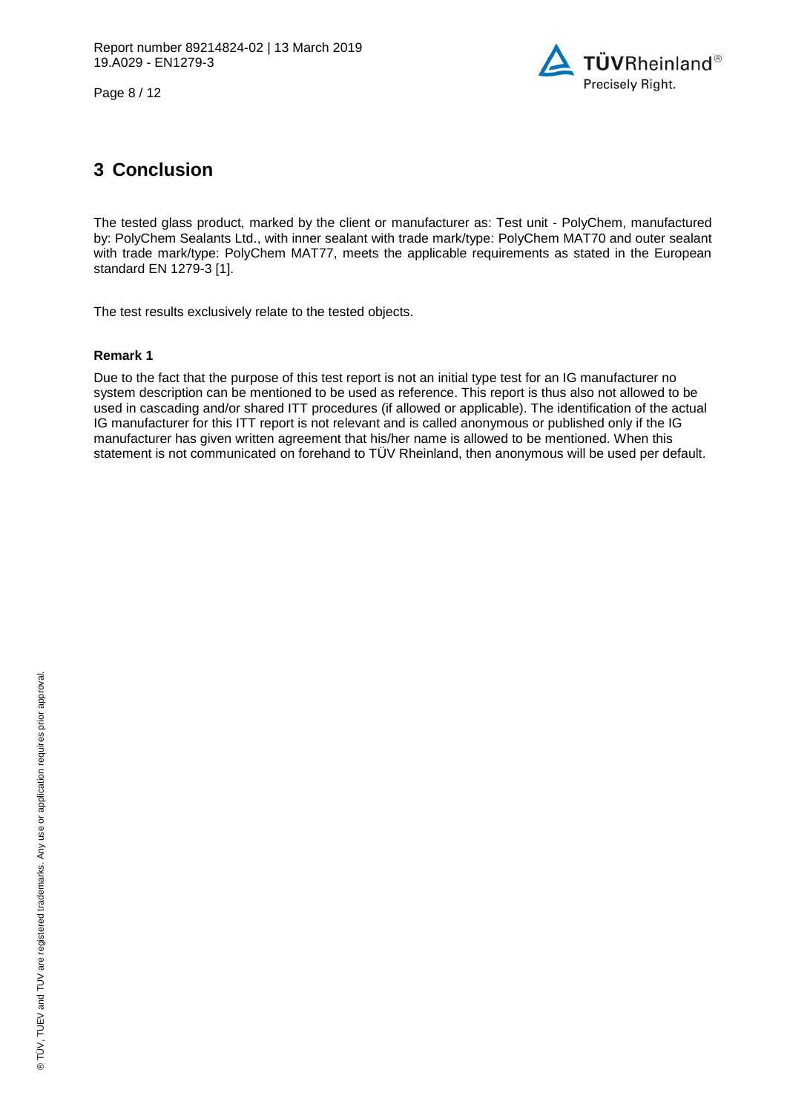Page 8 / 12



## **3 Conclusion**

The tested glass product, marked by the client or manufacturer as: Test unit - [PolyChem,](#page-0-7) manufactured by: [PolyChem Sealants Ltd.,](#page-0-3) with inner sealant with trade mark/type: PolyChem MAT70 and outer sealant with trade mark/type: PolyChem MAT77, meets the applicable requirements as stated in the European standard EN 1279-3 [1].

The test results exclusively relate to the tested objects.

## **Remark 1**

Due to the fact that the purpose of this test report is not an initial type test for an IG manufacturer no system description can be mentioned to be used as reference. This report is thus also not allowed to be used in cascading and/or shared ITT procedures (if allowed or applicable). The identification of the actual IG manufacturer for this ITT report is not relevant and is called anonymous or published only if the IG manufacturer has given written agreement that his/her name is allowed to be mentioned. When this statement is not communicated on forehand to TÜV Rheinland, then anonymous will be used per default.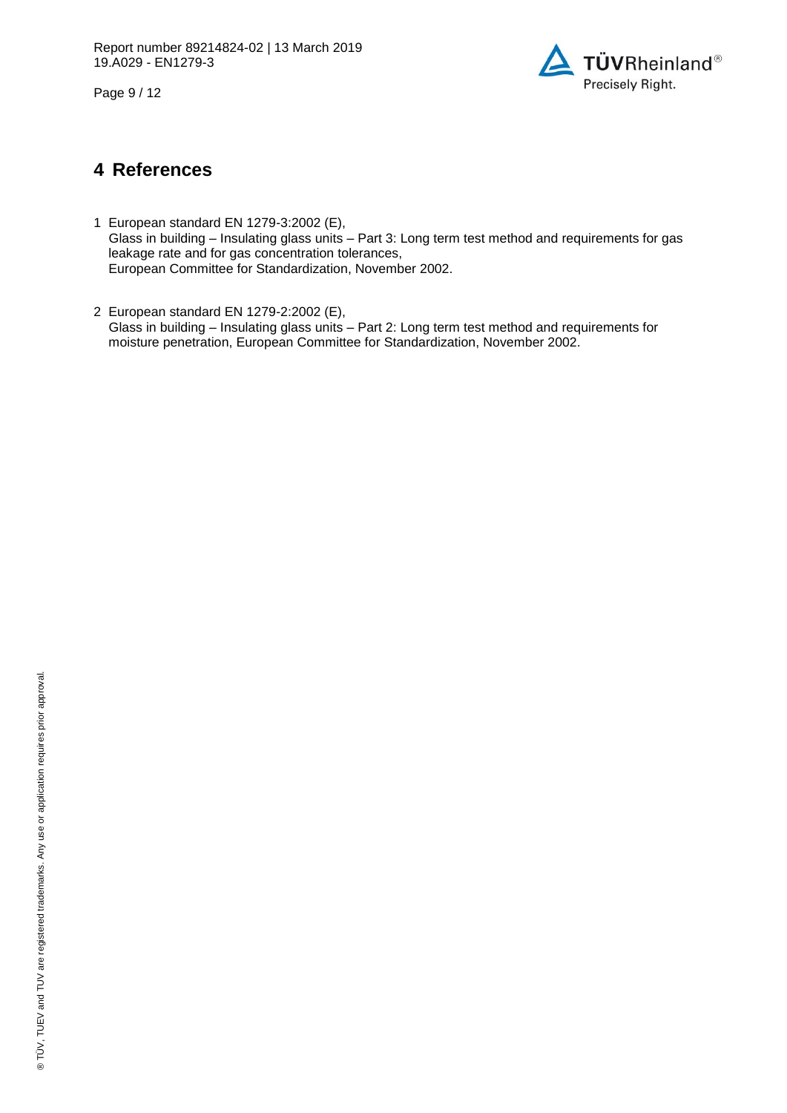Page 9 / 12



## **4 References**

- 1 European standard EN 1279-3:2002 (E), Glass in building – Insulating glass units – Part 3: Long term test method and requirements for gas leakage rate and for gas concentration tolerances, European Committee for Standardization, November 2002.
- 2 European standard EN 1279-2:2002 (E), Glass in building – Insulating glass units – Part 2: Long term test method and requirements for moisture penetration, European Committee for Standardization, November 2002.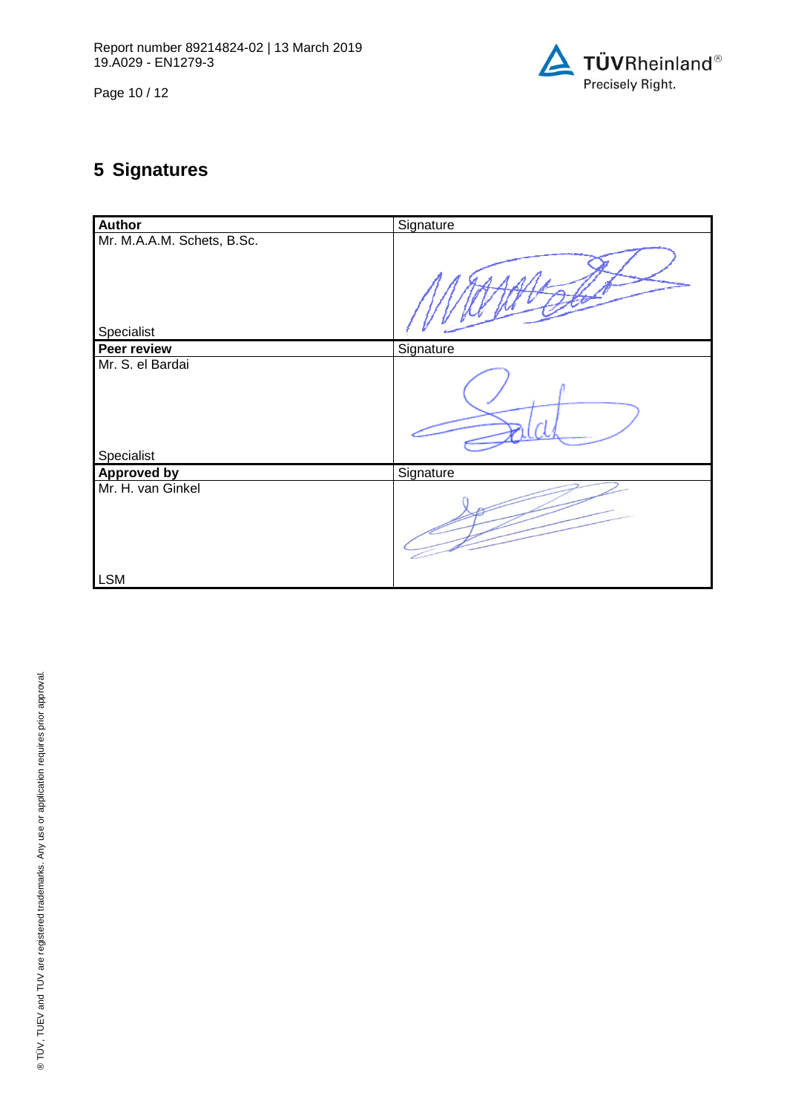Page 10 / 12



# **5 Signatures**

| <b>Author</b>                            | Signature |
|------------------------------------------|-----------|
| Mr. M.A.A.M. Schets, B.Sc.<br>Specialist |           |
| <b>Peer review</b>                       | Signature |
| Mr. S. el Bardai<br>Specialist           |           |
| <b>Approved by</b>                       | Signature |
| Mr. H. van Ginkel                        |           |
| <b>LSM</b>                               |           |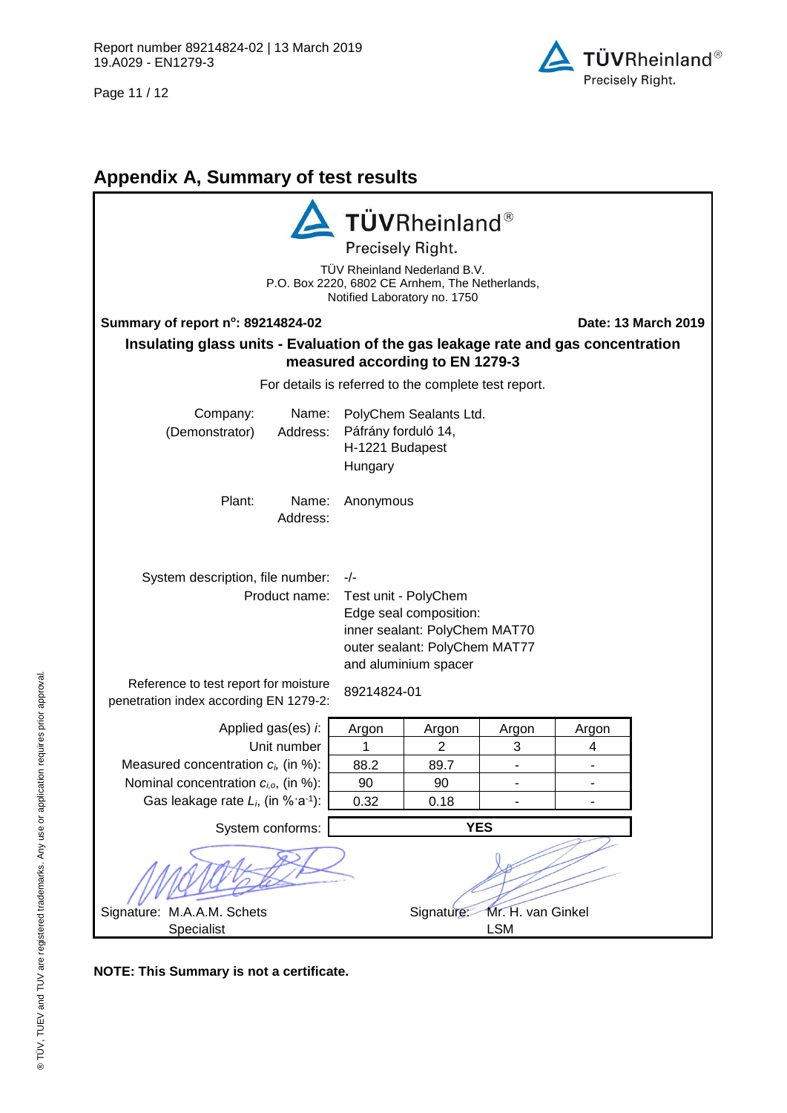Page 11 / 12



# **Appendix A, Summary of test results**

| <b>TÜVRheinland®</b><br>Precisely Right.<br>TÜV Rheinland Nederland B.V.<br>P.O. Box 2220, 6802 CE Arnhem, The Netherlands,<br>Notified Laboratory no. 1750                                                                                                                                              |                                                                             |                                                      |       |       |                     |
|----------------------------------------------------------------------------------------------------------------------------------------------------------------------------------------------------------------------------------------------------------------------------------------------------------|-----------------------------------------------------------------------------|------------------------------------------------------|-------|-------|---------------------|
| Summary of report n°: 89214824-02                                                                                                                                                                                                                                                                        |                                                                             |                                                      |       |       | Date: 13 March 2019 |
| Insulating glass units - Evaluation of the gas leakage rate and gas concentration<br>measured according to EN 1279-3                                                                                                                                                                                     |                                                                             |                                                      |       |       |                     |
|                                                                                                                                                                                                                                                                                                          |                                                                             | For details is referred to the complete test report. |       |       |                     |
| Company:<br>Name:<br>(Demonstrator)<br>Address:                                                                                                                                                                                                                                                          | PolyChem Sealants Ltd.<br>Páfrány forduló 14,<br>H-1221 Budapest<br>Hungary |                                                      |       |       |                     |
| Plant:<br>Name:<br>Anonymous<br>Address:                                                                                                                                                                                                                                                                 |                                                                             |                                                      |       |       |                     |
| System description, file number:<br>$-/-$<br>Product name:<br>Test unit - PolyChem<br>Edge seal composition:<br>inner sealant: PolyChem MAT70<br>outer sealant: PolyChem MAT77<br>and aluminium spacer<br>Reference to test report for moisture<br>89214824-01<br>penetration index according EN 1279-2: |                                                                             |                                                      |       |       |                     |
| Applied gas(es) i.                                                                                                                                                                                                                                                                                       | Argon                                                                       | Argon                                                | Argon | Argon |                     |
| Unit number                                                                                                                                                                                                                                                                                              | 1                                                                           | $\overline{2}$                                       | 3     | 4     |                     |
| Measured concentration $c_i$ , (in %):                                                                                                                                                                                                                                                                   | 88.2                                                                        | 89.7                                                 |       |       |                     |
| Nominal concentration $c_{i,o}$ , (in %):                                                                                                                                                                                                                                                                | 90                                                                          | 90                                                   |       |       |                     |
| Gas leakage rate $L_i$ , (in % a <sup>-1</sup> ):                                                                                                                                                                                                                                                        | 0.32                                                                        | 0.18                                                 |       |       |                     |
| System conforms:<br><b>YES</b>                                                                                                                                                                                                                                                                           |                                                                             |                                                      |       |       |                     |
| Mr. H. van Ginkel<br>Signature: M.A.A.M. Schets<br>Signature:<br><b>LSM</b><br>Specialist                                                                                                                                                                                                                |                                                                             |                                                      |       |       |                     |